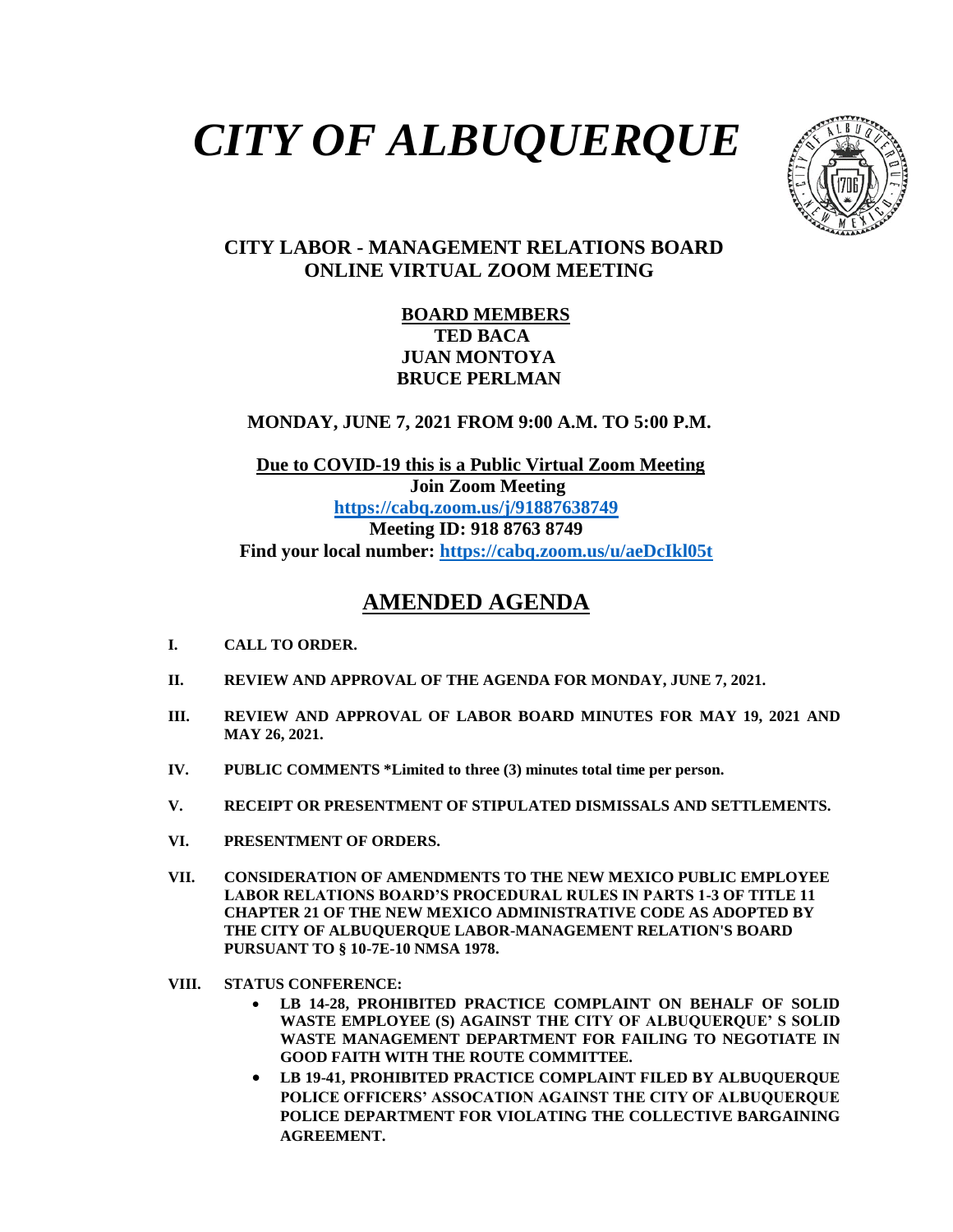# *CITY OF ALBUQUERQUE*



### **CITY LABOR - MANAGEMENT RELATIONS BOARD ONLINE VIRTUAL ZOOM MEETING**

#### **BOARD MEMBERS TED BACA JUAN MONTOYA BRUCE PERLMAN**

 **MONDAY, JUNE 7, 2021 FROM 9:00 A.M. TO 5:00 P.M.**

 **Due to COVID-19 this is a Public Virtual Zoom Meeting Join Zoom Meeting <https://cabq.zoom.us/j/91887638749> Meeting ID: 918 8763 8749 Find your local number:<https://cabq.zoom.us/u/aeDcIkl05t>**

## **AMENDED AGENDA**

- **I. CALL TO ORDER.**
- **II. REVIEW AND APPROVAL OF THE AGENDA FOR MONDAY, JUNE 7, 2021.**
- **III. REVIEW AND APPROVAL OF LABOR BOARD MINUTES FOR MAY 19, 2021 AND MAY 26, 2021.**
- **IV. PUBLIC COMMENTS \*Limited to three (3) minutes total time per person.**
- **V. RECEIPT OR PRESENTMENT OF STIPULATED DISMISSALS AND SETTLEMENTS.**
- **VI. PRESENTMENT OF ORDERS.**
- **VII. CONSIDERATION OF AMENDMENTS TO THE NEW MEXICO PUBLIC EMPLOYEE LABOR RELATIONS BOARD'S PROCEDURAL RULES IN PARTS 1-3 OF TITLE 11 CHAPTER 21 OF THE NEW MEXICO ADMINISTRATIVE CODE AS ADOPTED BY THE CITY OF ALBUQUERQUE LABOR-MANAGEMENT RELATION'S BOARD PURSUANT TO § 10-7E-10 NMSA 1978.**
- **VIII. STATUS CONFERENCE:**
	- **LB 14-28, PROHIBITED PRACTICE COMPLAINT ON BEHALF OF SOLID WASTE EMPLOYEE (S) AGAINST THE CITY OF ALBUQUERQUE' S SOLID WASTE MANAGEMENT DEPARTMENT FOR FAILING TO NEGOTIATE IN GOOD FAITH WITH THE ROUTE COMMITTEE.**
	- **LB 19-41, PROHIBITED PRACTICE COMPLAINT FILED BY ALBUQUERQUE POLICE OFFICERS' ASSOCATION AGAINST THE CITY OF ALBUQUERQUE POLICE DEPARTMENT FOR VIOLATING THE COLLECTIVE BARGAINING AGREEMENT.**